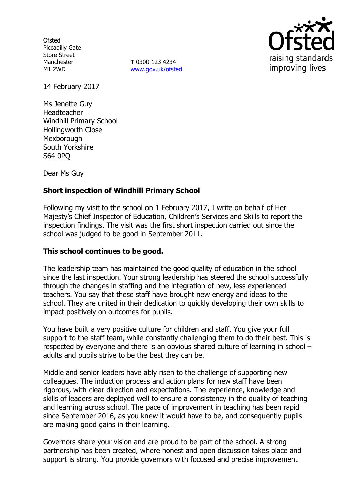**Ofsted** Piccadilly Gate Store Street Manchester M1 2WD

**T** 0300 123 4234 www.gov.uk/ofsted



14 February 2017

Ms Jenette Guy Headteacher Windhill Primary School Hollingworth Close Mexborough South Yorkshire S64 0PQ

Dear Ms Guy

# **Short inspection of Windhill Primary School**

Following my visit to the school on 1 February 2017, I write on behalf of Her Majesty's Chief Inspector of Education, Children's Services and Skills to report the inspection findings. The visit was the first short inspection carried out since the school was judged to be good in September 2011.

### **This school continues to be good.**

The leadership team has maintained the good quality of education in the school since the last inspection. Your strong leadership has steered the school successfully through the changes in staffing and the integration of new, less experienced teachers. You say that these staff have brought new energy and ideas to the school. They are united in their dedication to quickly developing their own skills to impact positively on outcomes for pupils.

You have built a very positive culture for children and staff. You give your full support to the staff team, while constantly challenging them to do their best. This is respected by everyone and there is an obvious shared culture of learning in school – adults and pupils strive to be the best they can be.

Middle and senior leaders have ably risen to the challenge of supporting new colleagues. The induction process and action plans for new staff have been rigorous, with clear direction and expectations. The experience, knowledge and skills of leaders are deployed well to ensure a consistency in the quality of teaching and learning across school. The pace of improvement in teaching has been rapid since September 2016, as you knew it would have to be, and consequently pupils are making good gains in their learning.

Governors share your vision and are proud to be part of the school. A strong partnership has been created, where honest and open discussion takes place and support is strong. You provide governors with focused and precise improvement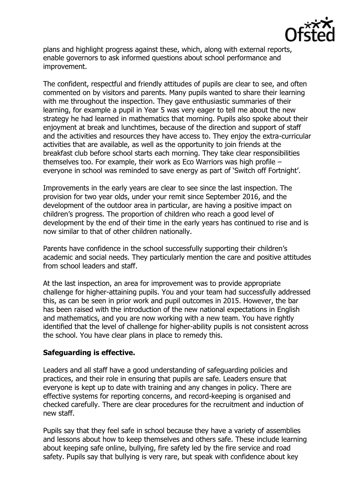

plans and highlight progress against these, which, along with external reports, enable governors to ask informed questions about school performance and improvement.

The confident, respectful and friendly attitudes of pupils are clear to see, and often commented on by visitors and parents. Many pupils wanted to share their learning with me throughout the inspection. They gave enthusiastic summaries of their learning, for example a pupil in Year 5 was very eager to tell me about the new strategy he had learned in mathematics that morning. Pupils also spoke about their enjoyment at break and lunchtimes, because of the direction and support of staff and the activities and resources they have access to. They enjoy the extra-curricular activities that are available, as well as the opportunity to join friends at the breakfast club before school starts each morning. They take clear responsibilities themselves too. For example, their work as Eco Warriors was high profile – everyone in school was reminded to save energy as part of 'Switch off Fortnight'.

Improvements in the early years are clear to see since the last inspection. The provision for two year olds, under your remit since September 2016, and the development of the outdoor area in particular, are having a positive impact on children's progress. The proportion of children who reach a good level of development by the end of their time in the early years has continued to rise and is now similar to that of other children nationally.

Parents have confidence in the school successfully supporting their children's academic and social needs. They particularly mention the care and positive attitudes from school leaders and staff.

At the last inspection, an area for improvement was to provide appropriate challenge for higher-attaining pupils. You and your team had successfully addressed this, as can be seen in prior work and pupil outcomes in 2015. However, the bar has been raised with the introduction of the new national expectations in English and mathematics, and you are now working with a new team. You have rightly identified that the level of challenge for higher-ability pupils is not consistent across the school. You have clear plans in place to remedy this.

### **Safeguarding is effective.**

Leaders and all staff have a good understanding of safeguarding policies and practices, and their role in ensuring that pupils are safe. Leaders ensure that everyone is kept up to date with training and any changes in policy. There are effective systems for reporting concerns, and record-keeping is organised and checked carefully. There are clear procedures for the recruitment and induction of new staff.

Pupils say that they feel safe in school because they have a variety of assemblies and lessons about how to keep themselves and others safe. These include learning about keeping safe online, bullying, fire safety led by the fire service and road safety. Pupils say that bullying is very rare, but speak with confidence about key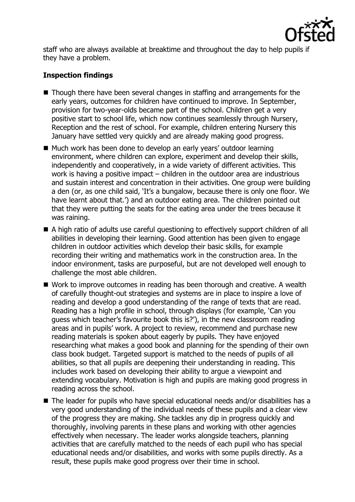

staff who are always available at breaktime and throughout the day to help pupils if they have a problem.

# **Inspection findings**

- Though there have been several changes in staffing and arrangements for the early years, outcomes for children have continued to improve. In September, provision for two-year-olds became part of the school. Children get a very positive start to school life, which now continues seamlessly through Nursery, Reception and the rest of school. For example, children entering Nursery this January have settled very quickly and are already making good progress.
- Much work has been done to develop an early years' outdoor learning environment, where children can explore, experiment and develop their skills, independently and cooperatively, in a wide variety of different activities. This work is having a positive impact – children in the outdoor area are industrious and sustain interest and concentration in their activities. One group were building a den (or, as one child said, 'It's a bungalow, because there is only one floor. We have learnt about that.') and an outdoor eating area. The children pointed out that they were putting the seats for the eating area under the trees because it was raining.
- A high ratio of adults use careful questioning to effectively support children of all abilities in developing their learning. Good attention has been given to engage children in outdoor activities which develop their basic skills, for example recording their writing and mathematics work in the construction area. In the indoor environment, tasks are purposeful, but are not developed well enough to challenge the most able children.
- Work to improve outcomes in reading has been thorough and creative. A wealth of carefully thought-out strategies and systems are in place to inspire a love of reading and develop a good understanding of the range of texts that are read. Reading has a high profile in school, through displays (for example, 'Can you guess which teacher's favourite book this is?'), in the new classroom reading areas and in pupils' work. A project to review, recommend and purchase new reading materials is spoken about eagerly by pupils. They have enjoyed researching what makes a good book and planning for the spending of their own class book budget. Targeted support is matched to the needs of pupils of all abilities, so that all pupils are deepening their understanding in reading. This includes work based on developing their ability to argue a viewpoint and extending vocabulary. Motivation is high and pupils are making good progress in reading across the school.
- $\blacksquare$  The leader for pupils who have special educational needs and/or disabilities has a very good understanding of the individual needs of these pupils and a clear view of the progress they are making. She tackles any dip in progress quickly and thoroughly, involving parents in these plans and working with other agencies effectively when necessary. The leader works alongside teachers, planning activities that are carefully matched to the needs of each pupil who has special educational needs and/or disabilities, and works with some pupils directly. As a result, these pupils make good progress over their time in school.